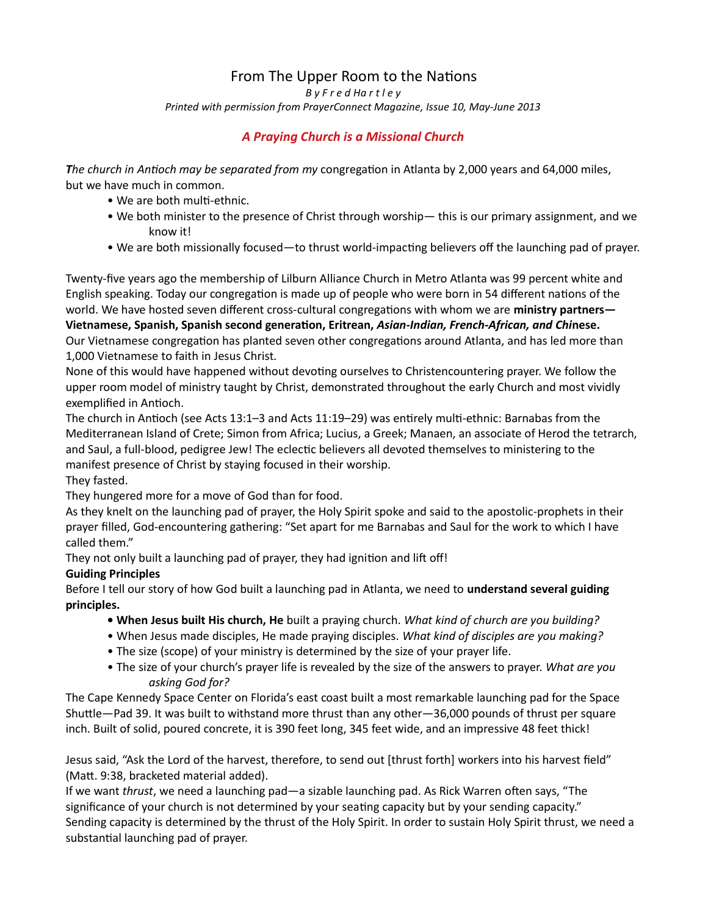# From The Upper Room to the Nations

B y F r e d Ha r t l e y

Printed with permission from PrayerConnect Magazine, Issue 10, May-June 2013

# A Praying Church is a Missional Church

The church in Antioch may be separated from my congregation in Atlanta by 2,000 years and 64,000 miles, but we have much in common.

- We are both multi-ethnic.
- We both minister to the presence of Christ through worship— this is our primary assignment, and we know it!
- We are both missionally focused—to thrust world-impacting believers off the launching pad of prayer.

Twenty-five years ago the membership of Lilburn Alliance Church in Metro Atlanta was 99 percent white and English speaking. Today our congregation is made up of people who were born in 54 different nations of the world. We have hosted seven different cross-cultural congregations with whom we are ministry partners— Vietnamese, Spanish, Spanish second generation, Eritrean, Asian-Indian, French-African, and Chinese. Our Vietnamese congregation has planted seven other congregations around Atlanta, and has led more than 1,000 Vietnamese to faith in Jesus Christ.

None of this would have happened without devoting ourselves to Christencountering prayer. We follow the upper room model of ministry taught by Christ, demonstrated throughout the early Church and most vividly exemplified in Antioch.

The church in Antioch (see Acts 13:1-3 and Acts 11:19-29) was entirely multi-ethnic: Barnabas from the Mediterranean Island of Crete; Simon from Africa; Lucius, a Greek; Manaen, an associate of Herod the tetrarch, and Saul, a full-blood, pedigree Jew! The eclectic believers all devoted themselves to ministering to the manifest presence of Christ by staying focused in their worship.

They fasted.

They hungered more for a move of God than for food.

As they knelt on the launching pad of prayer, the Holy Spirit spoke and said to the apostolic-prophets in their prayer filled, God-encountering gathering: "Set apart for me Barnabas and Saul for the work to which I have called them."

They not only built a launching pad of prayer, they had ignition and lift off!

# Guiding Principles

Before I tell our story of how God built a launching pad in Atlanta, we need to understand several guiding principles.

- When Jesus built His church, He built a praying church. What kind of church are you building?
- When Jesus made disciples, He made praying disciples. What kind of disciples are you making?
- The size (scope) of your ministry is determined by the size of your prayer life.
- The size of your church's prayer life is revealed by the size of the answers to prayer. What are you asking God for?

The Cape Kennedy Space Center on Florida's east coast built a most remarkable launching pad for the Space Shuttle—Pad 39. It was built to withstand more thrust than any other—36,000 pounds of thrust per square inch. Built of solid, poured concrete, it is 390 feet long, 345 feet wide, and an impressive 48 feet thick!

Jesus said, "Ask the Lord of the harvest, therefore, to send out [thrust forth] workers into his harvest field" (Matt. 9:38, bracketed material added).

If we want thrust, we need a launching pad—a sizable launching pad. As Rick Warren often says, "The significance of your church is not determined by your seating capacity but by your sending capacity." Sending capacity is determined by the thrust of the Holy Spirit. In order to sustain Holy Spirit thrust, we need a substantial launching pad of prayer.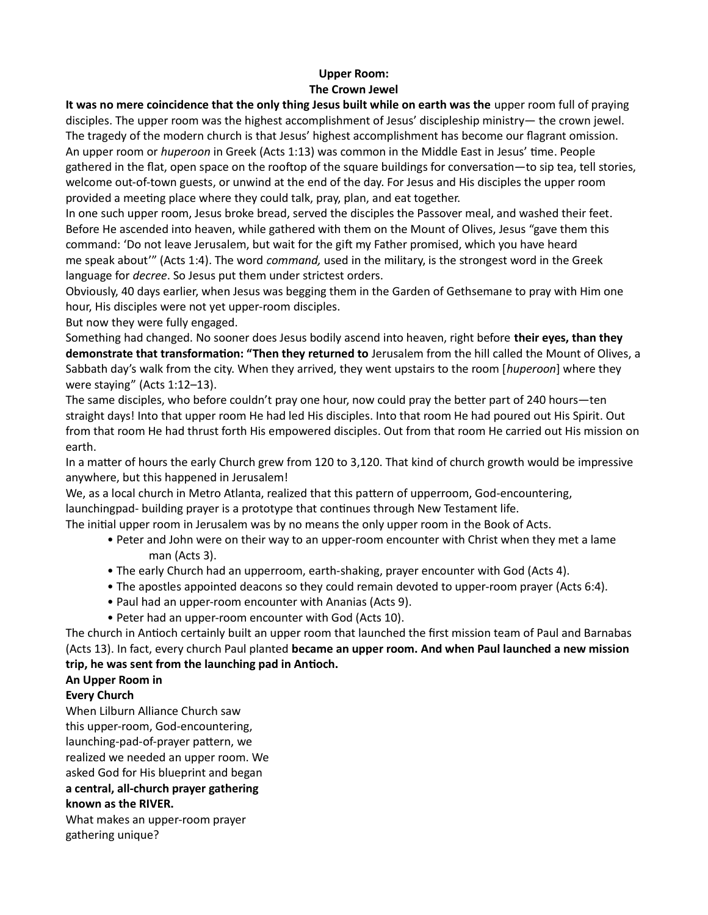#### Upper Room: The Crown Jewel

It was no mere coincidence that the only thing Jesus built while on earth was the upper room full of praying disciples. The upper room was the highest accomplishment of Jesus' discipleship ministry— the crown jewel. The tragedy of the modern church is that Jesus' highest accomplishment has become our flagrant omission. An upper room or *huperoon* in Greek (Acts 1:13) was common in the Middle East in Jesus' time. People gathered in the flat, open space on the rooftop of the square buildings for conversation—to sip tea, tell stories, welcome out-of-town guests, or unwind at the end of the day. For Jesus and His disciples the upper room provided a meeting place where they could talk, pray, plan, and eat together.

In one such upper room, Jesus broke bread, served the disciples the Passover meal, and washed their feet. Before He ascended into heaven, while gathered with them on the Mount of Olives, Jesus "gave them this command: 'Do not leave Jerusalem, but wait for the gift my Father promised, which you have heard me speak about'" (Acts 1:4). The word command, used in the military, is the strongest word in the Greek language for *decree*. So Jesus put them under strictest orders.

Obviously, 40 days earlier, when Jesus was begging them in the Garden of Gethsemane to pray with Him one hour, His disciples were not yet upper-room disciples.

But now they were fully engaged.

Something had changed. No sooner does Jesus bodily ascend into heaven, right before their eyes, than they demonstrate that transformation: "Then they returned to Jerusalem from the hill called the Mount of Olives, a Sabbath day's walk from the city. When they arrived, they went upstairs to the room [huperoon] where they were staying" (Acts 1:12–13).

The same disciples, who before couldn't pray one hour, now could pray the better part of 240 hours—ten straight days! Into that upper room He had led His disciples. Into that room He had poured out His Spirit. Out from that room He had thrust forth His empowered disciples. Out from that room He carried out His mission on earth.

In a matter of hours the early Church grew from 120 to 3,120. That kind of church growth would be impressive anywhere, but this happened in Jerusalem!

We, as a local church in Metro Atlanta, realized that this pattern of upperroom, God-encountering, launchingpad- building prayer is a prototype that continues through New Testament life.

The initial upper room in Jerusalem was by no means the only upper room in the Book of Acts.

- Peter and John were on their way to an upper-room encounter with Christ when they met a lame man (Acts 3).
- The early Church had an upperroom, earth-shaking, prayer encounter with God (Acts 4).
- The apostles appointed deacons so they could remain devoted to upper-room prayer (Acts 6:4).
- Paul had an upper-room encounter with Ananias (Acts 9).
- Peter had an upper-room encounter with God (Acts 10).

The church in AnƟoch certainly built an upper room that launched the first mission team of Paul and Barnabas (Acts 13). In fact, every church Paul planted became an upper room. And when Paul launched a new mission trip, he was sent from the launching pad in Antioch.

# An Upper Room in

# Every Church

When Lilburn Alliance Church saw this upper-room, God-encountering, launching-pad-of-prayer pattern, we realized we needed an upper room. We asked God for His blueprint and began a central, all-church prayer gathering known as the RIVER.

What makes an upper-room prayer gathering unique?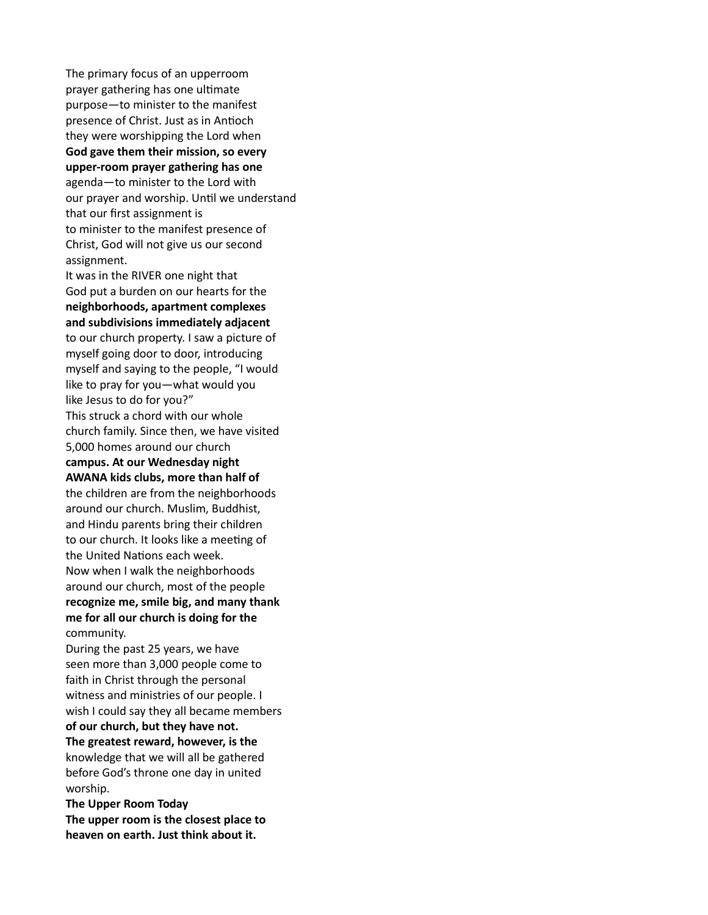The primary focus of an upperroom prayer gathering has one ultimate purpose—to minister to the manifest presence of Christ. Just as in Antioch they were worshipping the Lord when God gave them their mission, so every upper-room prayer gathering has one agenda—to minister to the Lord with our prayer and worship. Until we understand that our first assignment is to minister to the manifest presence of Christ, God will not give us our second assignment. It was in the RIVER one night that

God put a burden on our hearts for the neighborhoods, apartment complexes and subdivisions immediately adjacent to our church property. I saw a picture of myself going door to door, introducing myself and saying to the people, "I would like to pray for you—what would you like Jesus to do for you?" This struck a chord with our whole church family. Since then, we have visited 5,000 homes around our church campus. At our Wednesday night AWANA kids clubs, more than half of

the children are from the neighborhoods around our church. Muslim, Buddhist, and Hindu parents bring their children to our church. It looks like a meeting of the United Nations each week. Now when I walk the neighborhoods around our church, most of the people recognize me, smile big, and many thank me for all our church is doing for the community.

During the past 25 years, we have seen more than 3,000 people come to faith in Christ through the personal witness and ministries of our people. I wish I could say they all became members

of our church, but they have not. The greatest reward, however, is the knowledge that we will all be gathered before God's throne one day in united worship.

The Upper Room Today The upper room is the closest place to heaven on earth. Just think about it.